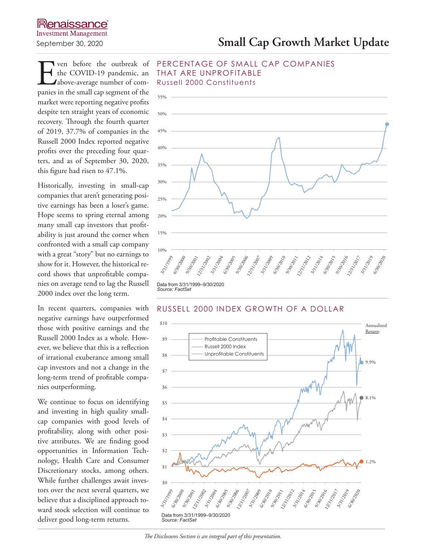**EVENT OF THE COVID-19 pandemic, and above-average number of companies in the small cap segment of the** the COVID-19 pandemic, an above-average number of commarket were reporting negative profits despite ten straight years of economic recovery. Through the fourth quarter of 2019, 37.7% of companies in the Russell 2000 Index reported negative profits over the preceding four quarters, and as of September 30, 2020, this figure had risen to 47.1%.

Historically, investing in small-cap companies that aren't generating positive earnings has been a loser's game. Hope seems to spring eternal among many small cap investors that profitability is just around the corner when confronted with a small cap company with a great "story" but no earnings to show for it. However, the historical record shows that unprofitable companies on average tend to lag the Russell 2000 index over the long term.

In recent quarters, companies with negative earnings have outperformed those with positive earnings and the Russell 2000 Index as a whole. However, we believe that this is a reflection of irrational exuberance among small cap investors and not a change in the long-term trend of profitable companies outperforming.

We continue to focus on identifying and investing in high quality smallcap companies with good levels of profitability, along with other positive attributes. We are finding good opportunities in Information Technology, Health Care and Consumer Discretionary stocks, among others. While further challenges await investors over the next several quarters, we believe that a disciplined approach toward stock selection will continue to deliver good long-term returns.

# September 30, 2020 **Small Cap Growth Market Update**

# PERCENTAGE OF SMALL CAP COMPANIES THAT ARE UNPROFITABLE Russell 2000 Constituents 50% 55%





### RUSSELL 2000 INDEX GROWTH OF A DOLLAR

*The Disclosures Section is an integral part of this presentation.*